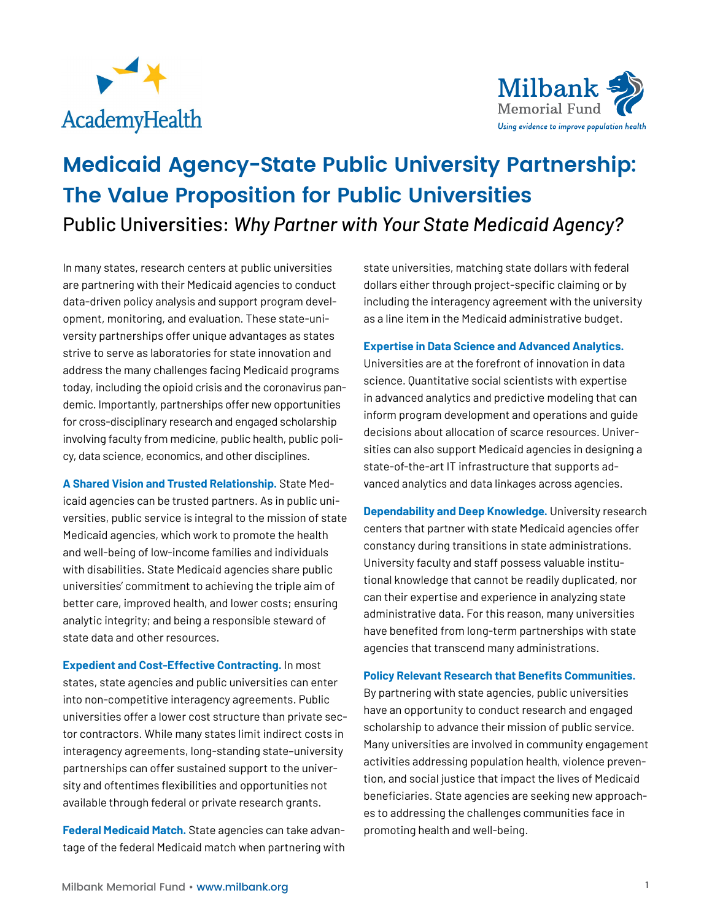



# **Medicaid Agency-State Public University Partnership: The Value Proposition for Public Universities** Public Universities: *Why Partner with Your State Medicaid Agency?*

In many states, research centers at public universities are partnering with their Medicaid agencies to conduct data-driven policy analysis and support program development, monitoring, and evaluation. These state-university partnerships offer unique advantages as states strive to serve as laboratories for state innovation and address the many challenges facing Medicaid programs today, including the opioid crisis and the coronavirus pandemic. Importantly, partnerships offer new opportunities for cross-disciplinary research and engaged scholarship involving faculty from medicine, public health, public policy, data science, economics, and other disciplines.

**A Shared Vision and Trusted Relationship.** State Medicaid agencies can be trusted partners. As in public universities, public service is integral to the mission of state Medicaid agencies, which work to promote the health and well-being of low-income families and individuals with disabilities. State Medicaid agencies share public universities' commitment to achieving the triple aim of better care, improved health, and lower costs; ensuring analytic integrity; and being a responsible steward of state data and other resources.

**Expedient and Cost-Effective Contracting.** In most states, state agencies and public universities can enter into non-competitive interagency agreements. Public universities offer a lower cost structure than private sector contractors. While many states limit indirect costs in interagency agreements, long-standing state–university partnerships can offer sustained support to the university and oftentimes flexibilities and opportunities not available through federal or private research grants.

**Federal Medicaid Match.** State agencies can take advantage of the federal Medicaid match when partnering with state universities, matching state dollars with federal dollars either through project-specific claiming or by including the interagency agreement with the university as a line item in the Medicaid administrative budget.

### **Expertise in Data Science and Advanced Analytics.**

Universities are at the forefront of innovation in data science. Quantitative social scientists with expertise in advanced analytics and predictive modeling that can inform program development and operations and guide decisions about allocation of scarce resources. Universities can also support Medicaid agencies in designing a state-of-the-art IT infrastructure that supports advanced analytics and data linkages across agencies.

**Dependability and Deep Knowledge.** University research centers that partner with state Medicaid agencies offer constancy during transitions in state administrations. University faculty and staff possess valuable institutional knowledge that cannot be readily duplicated, nor can their expertise and experience in analyzing state administrative data. For this reason, many universities have benefited from long-term partnerships with state agencies that transcend many administrations.

#### **Policy Relevant Research that Benefits Communities.**

By partnering with state agencies, public universities have an opportunity to conduct research and engaged scholarship to advance their mission of public service. Many universities are involved in community engagement activities addressing population health, violence prevention, and social justice that impact the lives of Medicaid beneficiaries. State agencies are seeking new approaches to addressing the challenges communities face in promoting health and well-being.